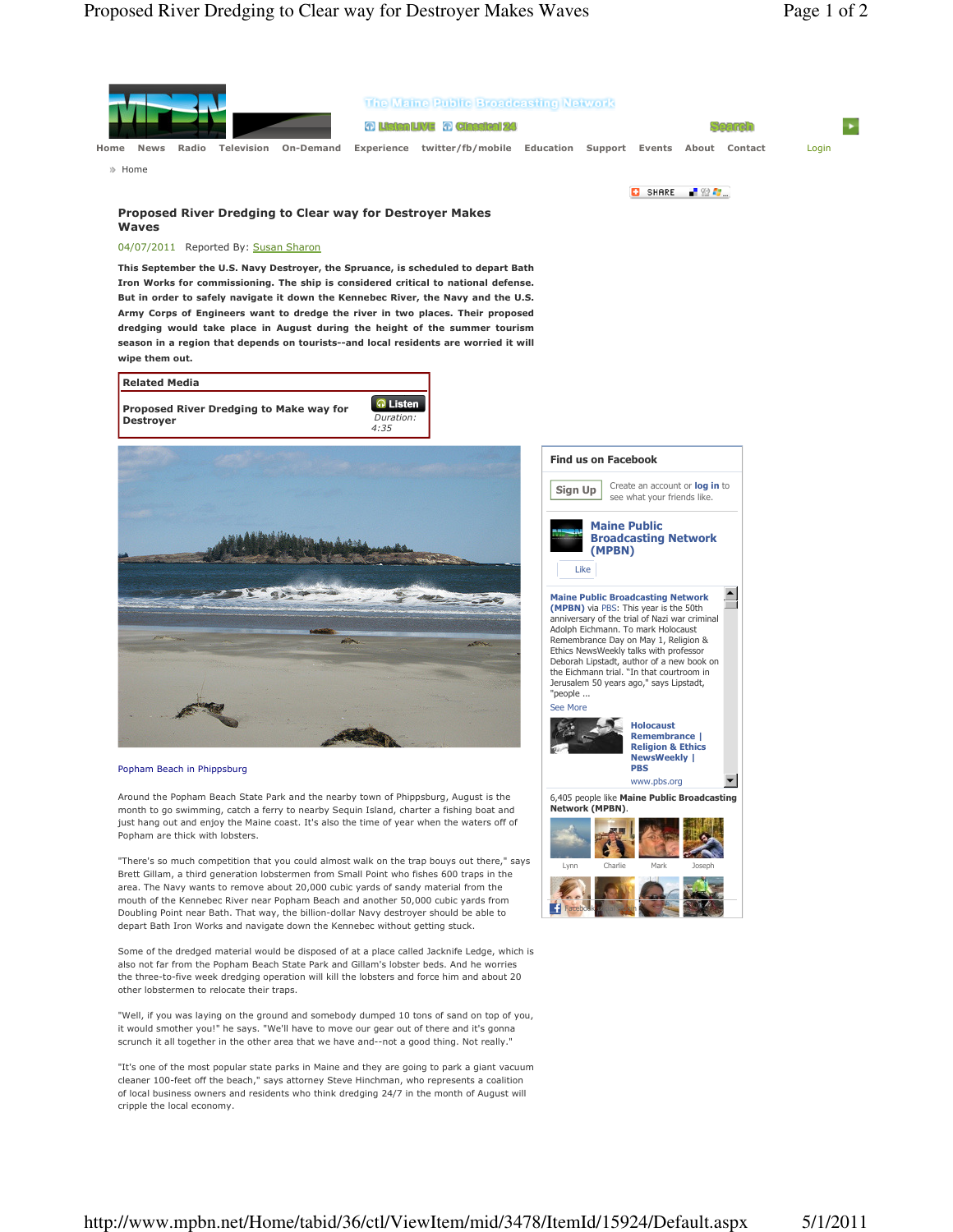

"It's one of the most popular state parks in Maine and they are going to park a giant vacuum cleaner 100-feet off the beach," says attorney Steve Hinchman, who represents a coalition of local business owners and residents who think dredging 24/7 in the month of August will cripple the local economy.